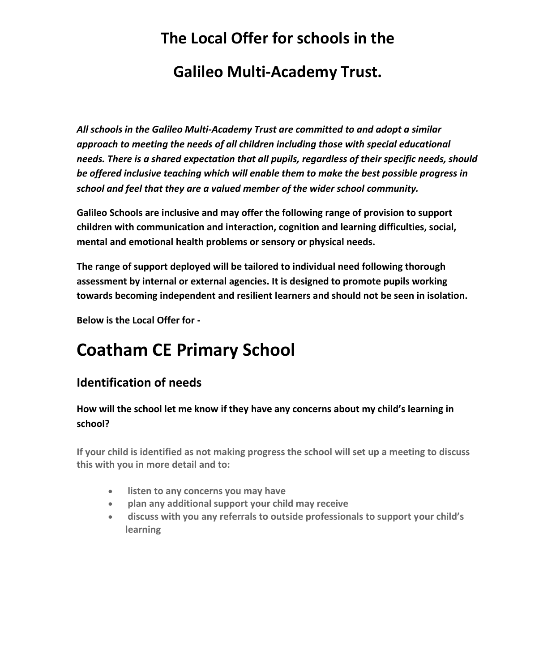# **The Local Offer for schools in the Galileo Multi-Academy Trust.**

*All schools in the Galileo Multi-Academy Trust are committed to and adopt a similar approach to meeting the needs of all children including those with special educational needs. There is a shared expectation that all pupils, regardless of their specific needs, should be offered inclusive teaching which will enable them to make the best possible progress in school and feel that they are a valued member of the wider school community.* 

**Galileo Schools are inclusive and may offer the following range of provision to support children with communication and interaction, cognition and learning difficulties, social, mental and emotional health problems or sensory or physical needs.**

**The range of support deployed will be tailored to individual need following thorough assessment by internal or external agencies. It is designed to promote pupils working towards becoming independent and resilient learners and should not be seen in isolation.**

**Below is the Local Offer for -**

## **Coatham CE Primary School**

## **Identification of needs**

#### **How will the school let me know if they have any concerns about my child's learning in school?**

**If your child is identified as not making progress the school will set up a meeting to discuss this with you in more detail and to:**

- **listen to any concerns you may have**
- **plan any additional support your child may receive**
- **discuss with you any referrals to outside professionals to support your child's learning**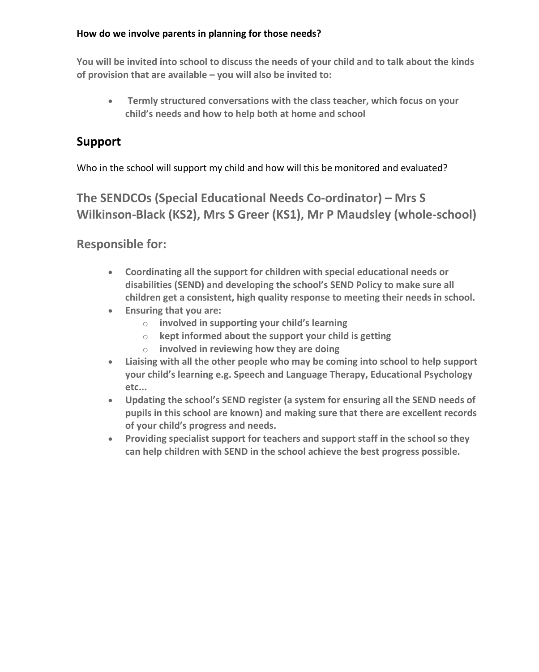#### **How do we involve parents in planning for those needs?**

**You will be invited into school to discuss the needs of your child and to talk about the kinds of provision that are available – you will also be invited to:**

 **Termly structured conversations with the class teacher, which focus on your child's needs and how to help both at home and school**

## **Support**

Who in the school will support my child and how will this be monitored and evaluated?

**The SENDCOs (Special Educational Needs Co-ordinator) – Mrs S Wilkinson-Black (KS2), Mrs S Greer (KS1), Mr P Maudsley (whole-school)**

**Responsible for:** 

- **Coordinating all the support for children with special educational needs or disabilities (SEND) and developing the school's SEND Policy to make sure all children get a consistent, high quality response to meeting their needs in school.**
- **Ensuring that you are:** 
	- o **involved in supporting your child's learning**
	- o **kept informed about the support your child is getting**
	- o **involved in reviewing how they are doing**
- **Liaising with all the other people who may be coming into school to help support your child's learning e.g. Speech and Language Therapy, Educational Psychology etc...**
- **Updating the school's SEND register (a system for ensuring all the SEND needs of pupils in this school are known) and making sure that there are excellent records of your child's progress and needs.**
- **Providing specialist support for teachers and support staff in the school so they can help children with SEND in the school achieve the best progress possible.**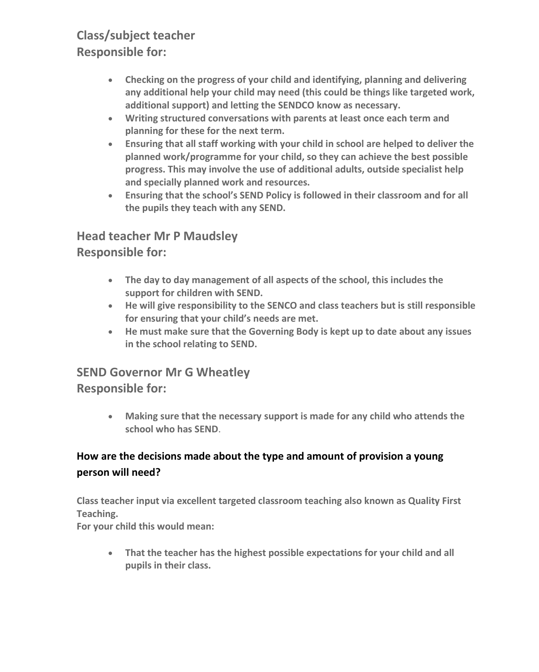## **Class/subject teacher Responsible for:**

- **Checking on the progress of your child and identifying, planning and delivering any additional help your child may need (this could be things like targeted work, additional support) and letting the SENDCO know as necessary.**
- **Writing structured conversations with parents at least once each term and planning for these for the next term.**
- **Ensuring that all staff working with your child in school are helped to deliver the planned work/programme for your child, so they can achieve the best possible progress. This may involve the use of additional adults, outside specialist help and specially planned work and resources.**
- **Ensuring that the school's SEND Policy is followed in their classroom and for all the pupils they teach with any SEND.**

## **Head teacher Mr P Maudsley Responsible for:**

- **The day to day management of all aspects of the school, this includes the support for children with SEND.**
- **He will give responsibility to the SENCO and class teachers but is still responsible for ensuring that your child's needs are met.**
- **He must make sure that the Governing Body is kept up to date about any issues in the school relating to SEND.**

## **SEND Governor Mr G Wheatley Responsible for:**

 **Making sure that the necessary support is made for any child who attends the school who has SEND**.

### **How are the decisions made about the type and amount of provision a young person will need?**

**Class teacher input via excellent targeted classroom teaching also known as Quality First Teaching.**

**For your child this would mean:**

 **That the teacher has the highest possible expectations for your child and all pupils in their class.**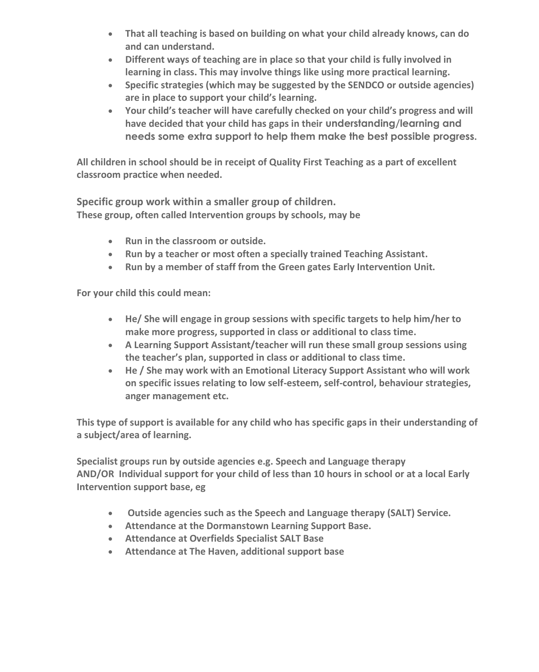- **That all teaching is based on building on what your child already knows, can do and can understand.**
- **Different ways of teaching are in place so that your child is fully involved in learning in class. This may involve things like using more practical learning.**
- **Specific strategies (which may be suggested by the SENDCO or outside agencies) are in place to support your child's learning.**
- **Your child's teacher will have carefully checked on your child's progress and will have decided that your child has gaps in their understanding/learning and needs some extra support to help them make the best possible progress.**

**All children in school should be in receipt of Quality First Teaching as a part of excellent classroom practice when needed.**

**Specific group work within a smaller group of children. These group, often called Intervention groups by schools, may be** 

- **Run in the classroom or outside.**
- **Run by a teacher or most often a specially trained Teaching Assistant.**
- **Run by a member of staff from the Green gates Early Intervention Unit.**

**For your child this could mean:** 

- **He/ She will engage in group sessions with specific targets to help him/her to make more progress, supported in class or additional to class time.**
- **A Learning Support Assistant/teacher will run these small group sessions using the teacher's plan, supported in class or additional to class time.**
- **He / She may work with an Emotional Literacy Support Assistant who will work on specific issues relating to low self-esteem, self-control, behaviour strategies, anger management etc.**

**This type of support is available for any child who has specific gaps in their understanding of a subject/area of learning.**

**Specialist groups run by outside agencies e.g. Speech and Language therapy AND/OR Individual support for your child of less than 10 hours in school or at a local Early Intervention support base, eg**

- **Outside agencies such as the Speech and Language therapy (SALT) Service.**
- **Attendance at the Dormanstown Learning Support Base.**
- **Attendance at Overfields Specialist SALT Base**
- **Attendance at The Haven, additional support base**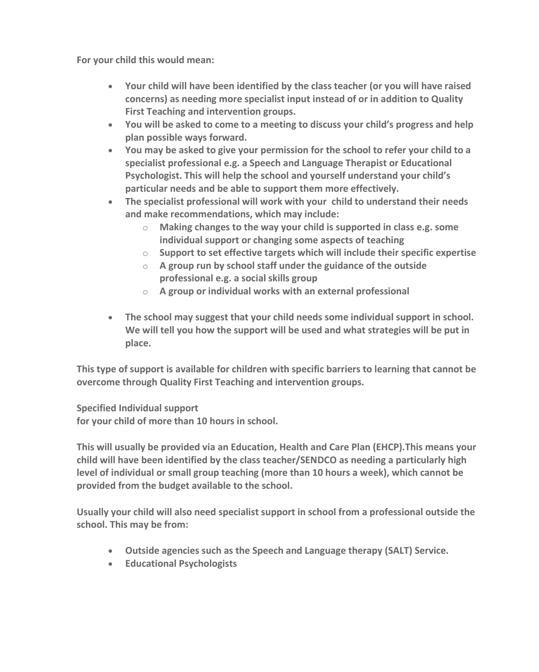**For your child this would mean:** 

- **Your child will have been identified by the class teacher (or you will have raised concerns) as needing more specialist input instead of or in addition to Quality First Teaching and intervention groups.**
- **You will be asked to come to a meeting to discuss your child's progress and help plan possible ways forward.**
- **You may be asked to give your permission for the school to refer your child to a specialist professional e.g. a Speech and Language Therapist or Educational Psychologist. This will help the school and yourself understand your child's particular needs and be able to support them more effectively.**
- **The specialist professional will work with your child to understand their needs and make recommendations, which may include:**
	- o **Making changes to the way your child is supported in class e.g. some individual support or changing some aspects of teaching**
	- o **Support to set effective targets which will include their specific expertise**
	- o **A group run by school staff under the guidance of the outside professional e.g. a social skills group**
	- o **A group or individual works with an external professional**
- **The school may suggest that your child needs some individual support in school. We will tell you how the support will be used and what strategies will be put in place.**

**This type of support is available for children with specific barriers to learning that cannot be overcome through Quality First Teaching and intervention groups.** 

**Specified Individual support for your child of more than 10 hours in school.**

**This will usually be provided via an Education, Health and Care Plan (EHCP).This means your child will have been identified by the class teacher/SENDCO as needing a particularly high level of individual or small group teaching (more than 10 hours a week), which cannot be provided from the budget available to the school.** 

**Usually your child will also need specialist support in school from a professional outside the school. This may be from:**

- **Outside agencies such as the Speech and Language therapy (SALT) Service.**
- **Educational Psychologists**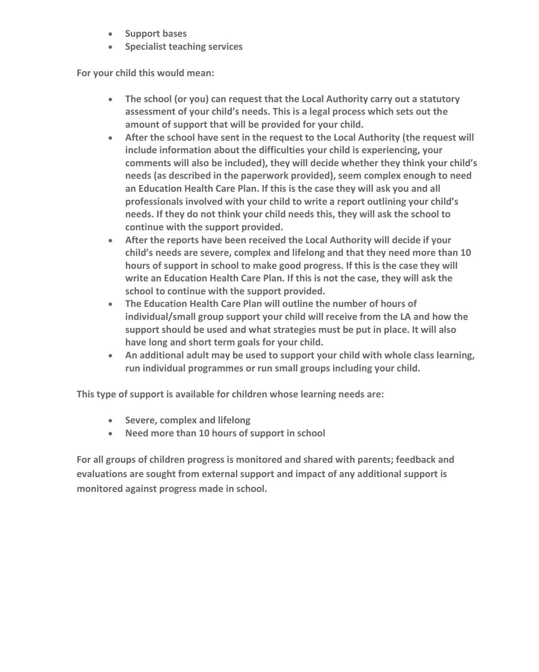- **s** Support bases
- **Specialist teaching services**

**For your child this would mean:** 

- **The school (or you) can request that the Local Authority carry out a statutory assessment of your child's needs. This is a legal process which sets out the amount of support that will be provided for your child.**
- **After the school have sent in the request to the Local Authority (the request will include information about the difficulties your child is experiencing, your comments will also be included), they will decide whether they think your child's needs (as described in the paperwork provided), seem complex enough to need an Education Health Care Plan. If this is the case they will ask you and all professionals involved with your child to write a report outlining your child's needs. If they do not think your child needs this, they will ask the school to continue with the support provided.**
- **After the reports have been received the Local Authority will decide if your child's needs are severe, complex and lifelong and that they need more than 10 hours of support in school to make good progress. If this is the case they will write an Education Health Care Plan. If this is not the case, they will ask the school to continue with the support provided.**
- **The Education Health Care Plan will outline the number of hours of individual/small group support your child will receive from the LA and how the support should be used and what strategies must be put in place. It will also have long and short term goals for your child.**
- **An additional adult may be used to support your child with whole class learning, run individual programmes or run small groups including your child.**

**This type of support is available for children whose learning needs are:**

- **Severe, complex and lifelong**
- **Need more than 10 hours of support in school**

**For all groups of children progress is monitored and shared with parents; feedback and evaluations are sought from external support and impact of any additional support is monitored against progress made in school.**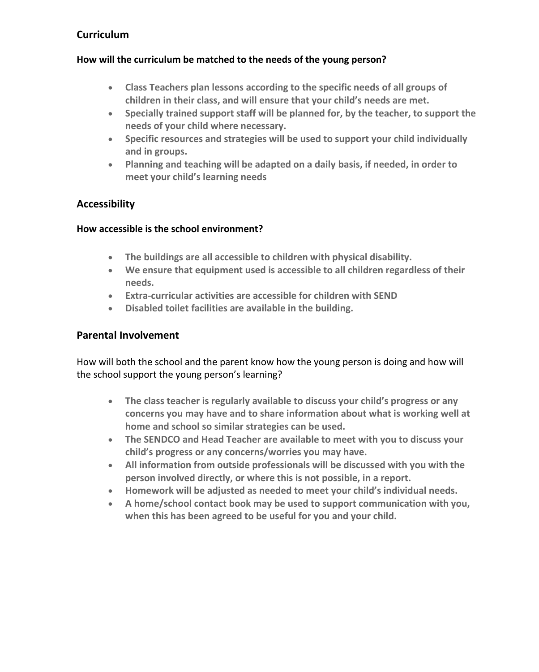#### **Curriculum**

#### **How will the curriculum be matched to the needs of the young person?**

- **Class Teachers plan lessons according to the specific needs of all groups of children in their class, and will ensure that your child's needs are met.**
- **Specially trained support staff will be planned for, by the teacher, to support the needs of your child where necessary.**
- **Specific resources and strategies will be used to support your child individually and in groups.**
- **Planning and teaching will be adapted on a daily basis, if needed, in order to meet your child's learning needs**

#### **Accessibility**

#### **How accessible is the school environment?**

- **The buildings are all accessible to children with physical disability.**
- **We ensure that equipment used is accessible to all children regardless of their needs.**
- **Extra-curricular activities are accessible for children with SEND**
- **Disabled toilet facilities are available in the building.**

#### **Parental Involvement**

How will both the school and the parent know how the young person is doing and how will the school support the young person's learning?

- **The class teacher is regularly available to discuss your child's progress or any concerns you may have and to share information about what is working well at home and school so similar strategies can be used.**
- **The SENDCO and Head Teacher are available to meet with you to discuss your child's progress or any concerns/worries you may have.**
- **All information from outside professionals will be discussed with you with the person involved directly, or where this is not possible, in a report.**
- **Homework will be adjusted as needed to meet your child's individual needs.**
- **A home/school contact book may be used to support communication with you, when this has been agreed to be useful for you and your child.**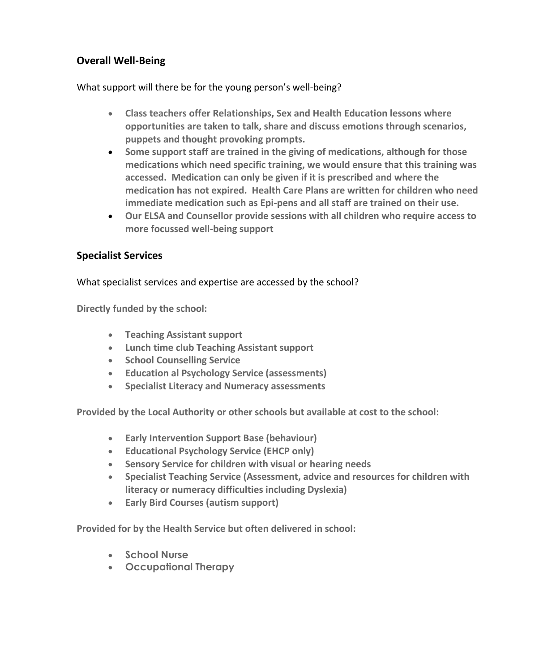#### **Overall Well-Being**

What support will there be for the young person's well-being?

- **Class teachers offer Relationships, Sex and Health Education lessons where opportunities are taken to talk, share and discuss emotions through scenarios, puppets and thought provoking prompts.**
- **Some support staff are trained in the giving of medications, although for those medications which need specific training, we would ensure that this training was accessed. Medication can only be given if it is prescribed and where the medication has not expired. Health Care Plans are written for children who need immediate medication such as Epi-pens and all staff are trained on their use.**
- **Our ELSA and Counsellor provide sessions with all children who require access to more focussed well-being support**

#### **Specialist Services**

What specialist services and expertise are accessed by the school?

**Directly funded by the school:**

- **Teaching Assistant support**
- **Lunch time club Teaching Assistant support**
- **School Counselling Service**
- **Education al Psychology Service (assessments)**
- **Specialist Literacy and Numeracy assessments**

**Provided by the Local Authority or other schools but available at cost to the school:**

- **Early Intervention Support Base (behaviour)**
- **Educational Psychology Service (EHCP only)**
- **Sensory Service for children with visual or hearing needs**
- **Specialist Teaching Service (Assessment, advice and resources for children with literacy or numeracy difficulties including Dyslexia)**
- **Early Bird Courses (autism support)**

**Provided for by the Health Service but often delivered in school:**

- **School Nurse**
- **Occupational Therapy**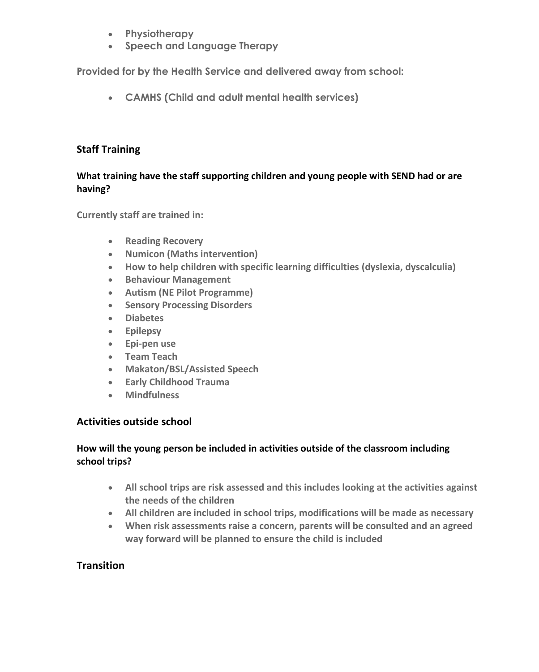- **Physiotherapy**
- **Speech and Language Therapy**

**Provided for by the Health Service and delivered away from school:**

**CAMHS (Child and adult mental health services)**

#### **Staff Training**

#### **What training have the staff supporting children and young people with SEND had or are having?**

**Currently staff are trained in:**

- **•** Reading Recovery
- **Numicon (Maths intervention)**
- **How to help children with specific learning difficulties (dyslexia, dyscalculia)**
- **Behaviour Management**
- **Autism (NE Pilot Programme)**
- **Sensory Processing Disorders**
- **Diabetes**
- **Epilepsy**
- **Epi-pen use**
- **Team Teach**
- **Makaton/BSL/Assisted Speech**
- **Early Childhood Trauma**
- **Mindfulness**

#### **Activities outside school**

#### **How will the young person be included in activities outside of the classroom including school trips?**

- **All school trips are risk assessed and this includes looking at the activities against the needs of the children**
- **All children are included in school trips, modifications will be made as necessary**
- **When risk assessments raise a concern, parents will be consulted and an agreed way forward will be planned to ensure the child is included**

#### **Transition**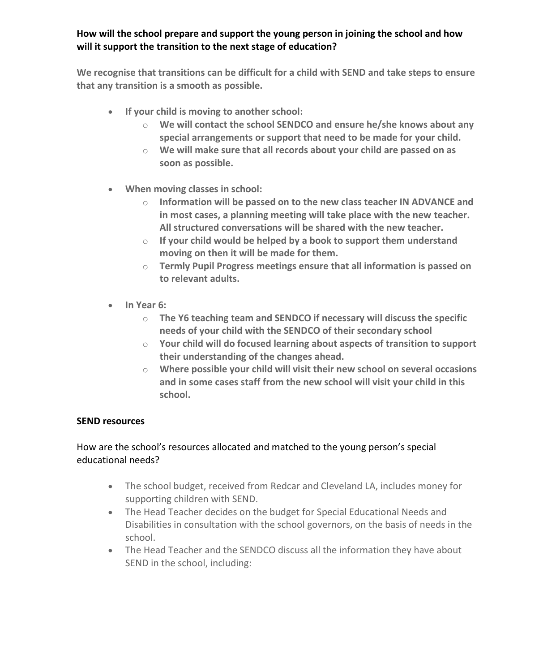#### **How will the school prepare and support the young person in joining the school and how will it support the transition to the next stage of education?**

**We recognise that transitions can be difficult for a child with SEND and take steps to ensure that any transition is a smooth as possible.**

- **If your child is moving to another school:** 
	- o **We will contact the school SENDCO and ensure he/she knows about any special arrangements or support that need to be made for your child.**
	- o **We will make sure that all records about your child are passed on as soon as possible.**
- **When moving classes in school:** 
	- o **Information will be passed on to the new class teacher IN ADVANCE and in most cases, a planning meeting will take place with the new teacher. All structured conversations will be shared with the new teacher.**
	- o **If your child would be helped by a book to support them understand moving on then it will be made for them.**
	- o **Termly Pupil Progress meetings ensure that all information is passed on to relevant adults.**
- **In Year 6:** 
	- o **The Y6 teaching team and SENDCO if necessary will discuss the specific needs of your child with the SENDCO of their secondary school**
	- o **Your child will do focused learning about aspects of transition to support their understanding of the changes ahead.**
	- o **Where possible your child will visit their new school on several occasions and in some cases staff from the new school will visit your child in this school.**

#### **SEND resources**

#### How are the school's resources allocated and matched to the young person's special educational needs?

- The school budget, received from Redcar and Cleveland LA, includes money for supporting children with SEND.
- The Head Teacher decides on the budget for Special Educational Needs and Disabilities in consultation with the school governors, on the basis of needs in the school.
- The Head Teacher and the SENDCO discuss all the information they have about SEND in the school, including: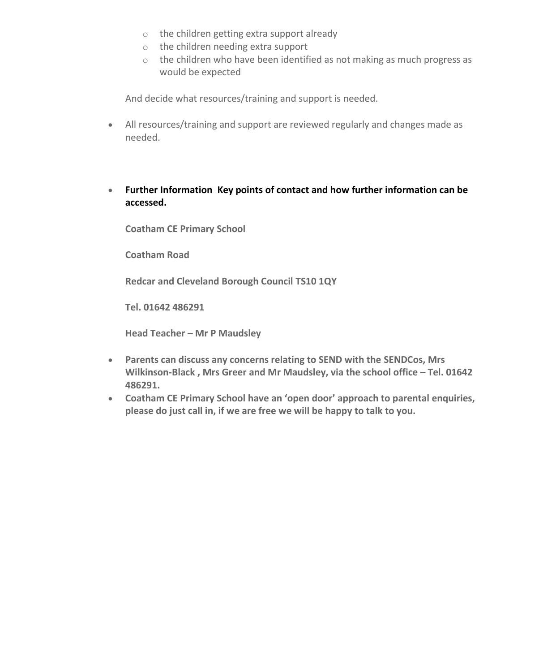- o the children getting extra support already
- o the children needing extra support
- o the children who have been identified as not making as much progress as would be expected

And decide what resources/training and support is needed.

- All resources/training and support are reviewed regularly and changes made as needed.
- **Further Information Key points of contact and how further information can be accessed.**

**Coatham CE Primary School**

**Coatham Road**

**Redcar and Cleveland Borough Council TS10 1QY**

**Tel. 01642 486291**

**Head Teacher – Mr P Maudsley**

- **Parents can discuss any concerns relating to SEND with the SENDCos, Mrs Wilkinson-Black , Mrs Greer and Mr Maudsley, via the school office – Tel. 01642 486291.**
- **Coatham CE Primary School have an 'open door' approach to parental enquiries, please do just call in, if we are free we will be happy to talk to you.**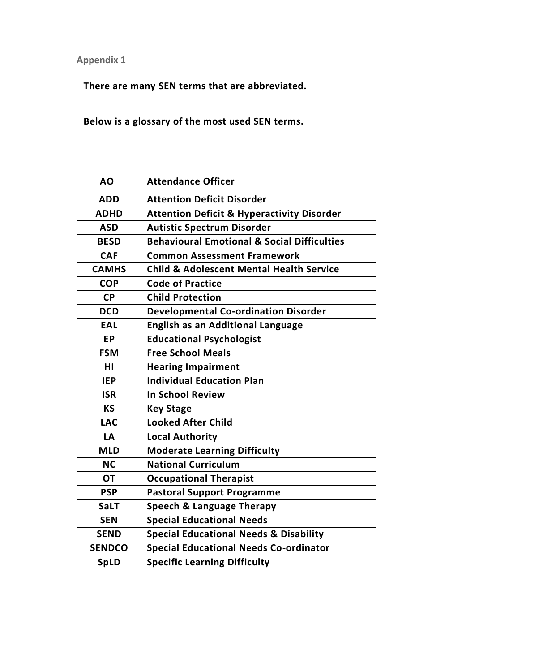**Appendix 1**

**There are many SEN terms that are abbreviated.**

**Below is a glossary of the most used SEN terms.**

| AO            | <b>Attendance Officer</b>                              |
|---------------|--------------------------------------------------------|
| <b>ADD</b>    | <b>Attention Deficit Disorder</b>                      |
| <b>ADHD</b>   | <b>Attention Deficit &amp; Hyperactivity Disorder</b>  |
| <b>ASD</b>    | <b>Autistic Spectrum Disorder</b>                      |
| <b>BESD</b>   | <b>Behavioural Emotional &amp; Social Difficulties</b> |
| <b>CAF</b>    | <b>Common Assessment Framework</b>                     |
| <b>CAMHS</b>  | <b>Child &amp; Adolescent Mental Health Service</b>    |
| <b>COP</b>    | <b>Code of Practice</b>                                |
| <b>CP</b>     | <b>Child Protection</b>                                |
| <b>DCD</b>    | <b>Developmental Co-ordination Disorder</b>            |
| <b>EAL</b>    | <b>English as an Additional Language</b>               |
| <b>EP</b>     | <b>Educational Psychologist</b>                        |
| <b>FSM</b>    | <b>Free School Meals</b>                               |
| нı            | <b>Hearing Impairment</b>                              |
| <b>IEP</b>    | <b>Individual Education Plan</b>                       |
| <b>ISR</b>    | <b>In School Review</b>                                |
| <b>KS</b>     | <b>Key Stage</b>                                       |
| <b>LAC</b>    | <b>Looked After Child</b>                              |
| LA            | <b>Local Authority</b>                                 |
| <b>MLD</b>    | <b>Moderate Learning Difficulty</b>                    |
| <b>NC</b>     | <b>National Curriculum</b>                             |
| <b>OT</b>     | <b>Occupational Therapist</b>                          |
| <b>PSP</b>    | <b>Pastoral Support Programme</b>                      |
| <b>SaLT</b>   | <b>Speech &amp; Language Therapy</b>                   |
| <b>SEN</b>    | <b>Special Educational Needs</b>                       |
| <b>SEND</b>   | <b>Special Educational Needs &amp; Disability</b>      |
| <b>SENDCO</b> | <b>Special Educational Needs Co-ordinator</b>          |
| <b>SpLD</b>   | <b>Specific Learning Difficulty</b>                    |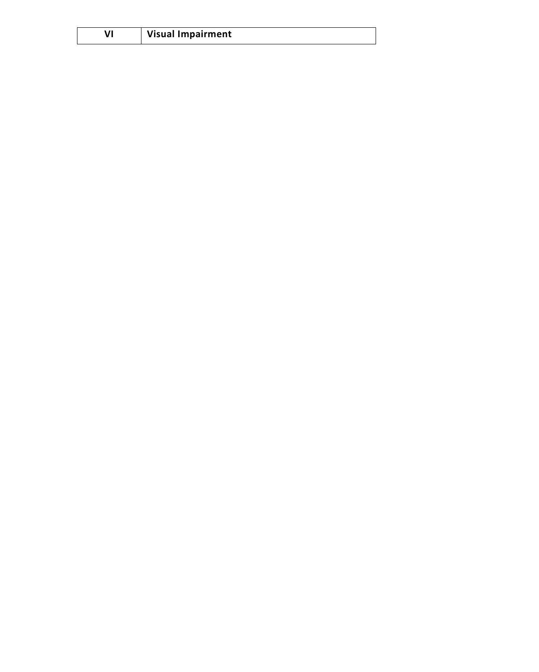| VI | Visual Impairment |
|----|-------------------|
|----|-------------------|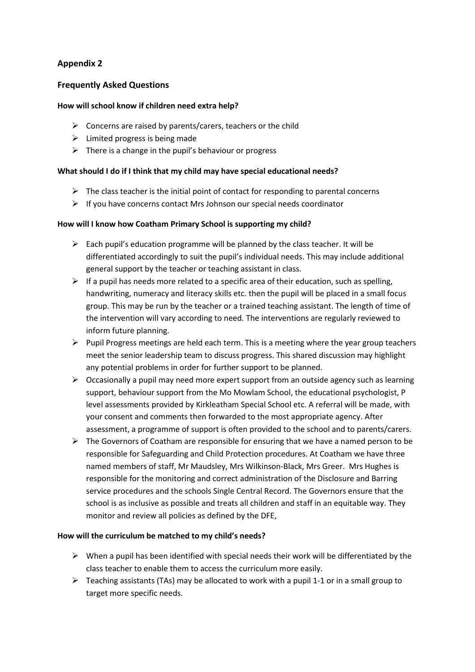#### **Appendix 2**

#### **Frequently Asked Questions**

#### **How will school know if children need extra help?**

- $\triangleright$  Concerns are raised by parents/carers, teachers or the child
- $\triangleright$  Limited progress is being made
- $\triangleright$  There is a change in the pupil's behaviour or progress

#### **What should I do if I think that my child may have special educational needs?**

- $\triangleright$  The class teacher is the initial point of contact for responding to parental concerns
- $\triangleright$  If you have concerns contact Mrs Johnson our special needs coordinator

#### **How will I know how Coatham Primary School is supporting my child?**

- $\triangleright$  Each pupil's education programme will be planned by the class teacher. It will be differentiated accordingly to suit the pupil's individual needs. This may include additional general support by the teacher or teaching assistant in class.
- $\triangleright$  If a pupil has needs more related to a specific area of their education, such as spelling, handwriting, numeracy and literacy skills etc. then the pupil will be placed in a small focus group. This may be run by the teacher or a trained teaching assistant. The length of time of the intervention will vary according to need. The interventions are regularly reviewed to inform future planning.
- $\triangleright$  Pupil Progress meetings are held each term. This is a meeting where the year group teachers meet the senior leadership team to discuss progress. This shared discussion may highlight any potential problems in order for further support to be planned.
- $\triangleright$  Occasionally a pupil may need more expert support from an outside agency such as learning support, behaviour support from the Mo Mowlam School, the educational psychologist, P level assessments provided by Kirkleatham Special School etc. A referral will be made, with your consent and comments then forwarded to the most appropriate agency. After assessment, a programme of support is often provided to the school and to parents/carers.
- $\triangleright$  The Governors of Coatham are responsible for ensuring that we have a named person to be responsible for Safeguarding and Child Protection procedures. At Coatham we have three named members of staff, Mr Maudsley, Mrs Wilkinson-Black, Mrs Greer. Mrs Hughes is responsible for the monitoring and correct administration of the Disclosure and Barring service procedures and the schools Single Central Record. The Governors ensure that the school is as inclusive as possible and treats all children and staff in an equitable way. They monitor and review all policies as defined by the DFE,

#### **How will the curriculum be matched to my child's needs?**

- $\triangleright$  When a pupil has been identified with special needs their work will be differentiated by the class teacher to enable them to access the curriculum more easily.
- $\triangleright$  Teaching assistants (TAs) may be allocated to work with a pupil 1-1 or in a small group to target more specific needs.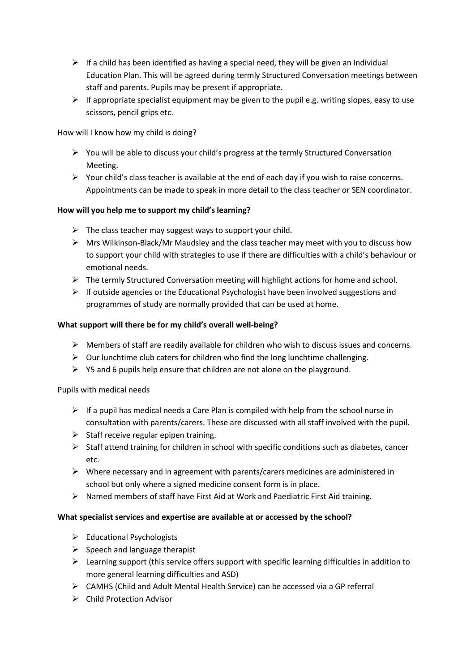- $\triangleright$  If a child has been identified as having a special need, they will be given an Individual Education Plan. This will be agreed during termly Structured Conversation meetings between staff and parents. Pupils may be present if appropriate.
- $\triangleright$  If appropriate specialist equipment may be given to the pupil e.g. writing slopes, easy to use scissors, pencil grips etc.

How will I know how my child is doing?

- $\triangleright$  You will be able to discuss your child's progress at the termly Structured Conversation Meeting.
- $\triangleright$  Your child's class teacher is available at the end of each day if you wish to raise concerns. Appointments can be made to speak in more detail to the class teacher or SEN coordinator.

#### **How will you help me to support my child's learning?**

- $\triangleright$  The class teacher may suggest ways to support your child.
- $\triangleright$  Mrs Wilkinson-Black/Mr Maudsley and the class teacher may meet with you to discuss how to support your child with strategies to use if there are difficulties with a child's behaviour or emotional needs.
- $\triangleright$  The termly Structured Conversation meeting will highlight actions for home and school.
- $\triangleright$  If outside agencies or the Educational Psychologist have been involved suggestions and programmes of study are normally provided that can be used at home.

#### **What support will there be for my child's overall well-being?**

- $\triangleright$  Members of staff are readily available for children who wish to discuss issues and concerns.
- $\triangleright$  Our lunchtime club caters for children who find the long lunchtime challenging.
- $\triangleright$  Y5 and 6 pupils help ensure that children are not alone on the playground.

Pupils with medical needs

- $\triangleright$  If a pupil has medical needs a Care Plan is compiled with help from the school nurse in consultation with parents/carers. These are discussed with all staff involved with the pupil.
- $\triangleright$  Staff receive regular epipen training.
- $\triangleright$  Staff attend training for children in school with specific conditions such as diabetes, cancer etc.
- $\triangleright$  Where necessary and in agreement with parents/carers medicines are administered in school but only where a signed medicine consent form is in place.
- $\triangleright$  Named members of staff have First Aid at Work and Paediatric First Aid training.

#### **What specialist services and expertise are available at or accessed by the school?**

- $\triangleright$  Educational Psychologists
- $\triangleright$  Speech and language therapist
- $\triangleright$  Learning support (this service offers support with specific learning difficulties in addition to more general learning difficulties and ASD)
- $\triangleright$  CAMHS (Child and Adult Mental Health Service) can be accessed via a GP referral
- $\triangleright$  Child Protection Advisor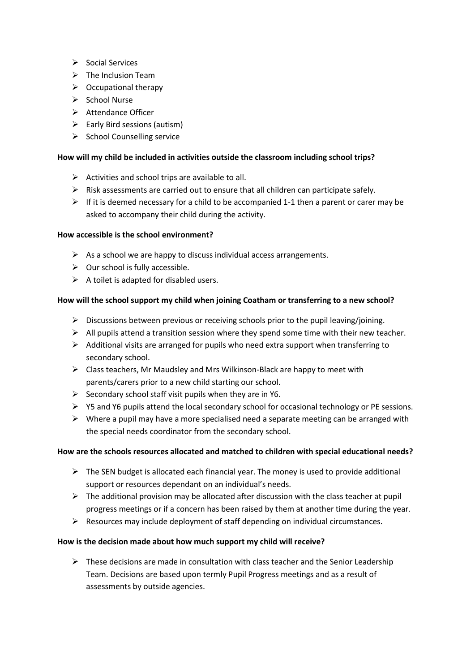- $\triangleright$  Social Services
- $\triangleright$  The Inclusion Team
- $\triangleright$  Occupational therapy
- $\triangleright$  School Nurse
- > Attendance Officer
- $\triangleright$  Early Bird sessions (autism)
- $\triangleright$  School Counselling service

#### **How will my child be included in activities outside the classroom including school trips?**

- $\triangleright$  Activities and school trips are available to all.
- $\triangleright$  Risk assessments are carried out to ensure that all children can participate safely.
- $\triangleright$  If it is deemed necessary for a child to be accompanied 1-1 then a parent or carer may be asked to accompany their child during the activity.

#### **How accessible is the school environment?**

- $\triangleright$  As a school we are happy to discuss individual access arrangements.
- $\triangleright$  Our school is fully accessible.
- $\triangleright$  A toilet is adapted for disabled users.

#### **How will the school support my child when joining Coatham or transferring to a new school?**

- $\triangleright$  Discussions between previous or receiving schools prior to the pupil leaving/joining.
- $\triangleright$  All pupils attend a transition session where they spend some time with their new teacher.
- $\triangleright$  Additional visits are arranged for pupils who need extra support when transferring to secondary school.
- $\triangleright$  Class teachers, Mr Maudsley and Mrs Wilkinson-Black are happy to meet with parents/carers prior to a new child starting our school.
- $\triangleright$  Secondary school staff visit pupils when they are in Y6.
- Y5 and Y6 pupils attend the local secondary school for occasional technology or PE sessions.
- $\triangleright$  Where a pupil may have a more specialised need a separate meeting can be arranged with the special needs coordinator from the secondary school.

#### **How are the schools resources allocated and matched to children with special educational needs?**

- $\triangleright$  The SEN budget is allocated each financial year. The money is used to provide additional support or resources dependant on an individual's needs.
- $\triangleright$  The additional provision may be allocated after discussion with the class teacher at pupil progress meetings or if a concern has been raised by them at another time during the year.
- $\triangleright$  Resources may include deployment of staff depending on individual circumstances.

#### **How is the decision made about how much support my child will receive?**

 $\triangleright$  These decisions are made in consultation with class teacher and the Senior Leadership Team. Decisions are based upon termly Pupil Progress meetings and as a result of assessments by outside agencies.